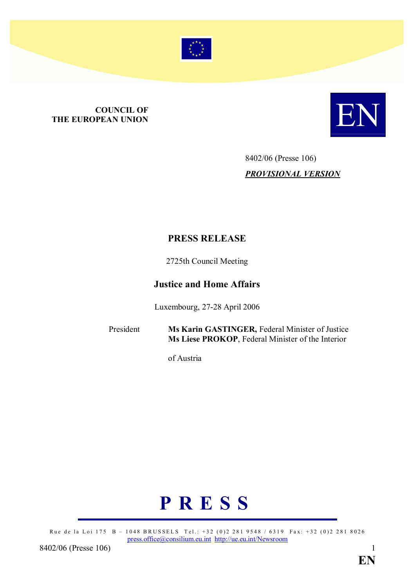

# **COUNCIL OF<br>THE EUROPEAN UNION** COUNCIL OF COUNCIL OF **EUROPEAN UNION**



## 8402/06 (Presse 106) PROVISIONAL VERSION

#### PRESS RELEASE

2725th Council Meeting

#### Justice and Home Affairs

Luxembourg, 27-28 April 2006

President Ms Karin GASTINGER, Federal Minister of Justice Ms Liese PROKOP, Federal Minister of the Interior

of Austria

# P R E S S

Rue de la Loi 175 B – 1048 BRUSSELS Tel.: +32 (0)2 281 9548 / 6319 Fax: +32 (0)2 281 8026 press.office@consilium.eu.int http://ue.eu.int/Newsroom

8402/06 (Presse 106) 1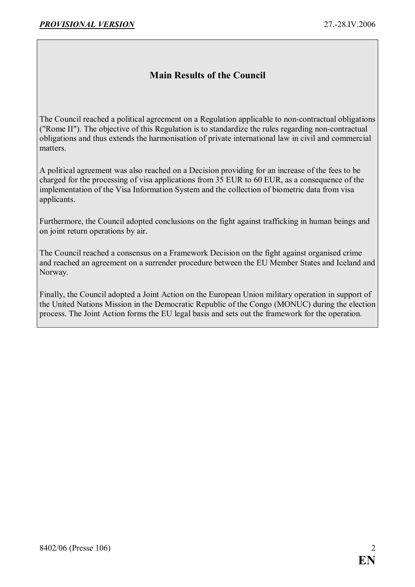#### Main Results of the Council

The Council reached a political agreement on a Regulation applicable to non-contractual obligations ("Rome II"). The objective of this Regulation is to standardize the rules regarding non-contractual obligations and thus extends the harmonisation of private international law in civil and commercial matters.

A political agreement was also reached on a Decision providing for an increase of the fees to be charged for the processing of visa applications from 35 EUR to 60 EUR, as a consequence of the implementation of the Visa Information System and the collection of biometric data from visa applicants.

Furthermore, the Council adopted conclusions on the fight against trafficking in human beings and on joint return operations by air.

The Council reached a consensus on a Framework Decision on the fight against organised crime and reached an agreement on a surrender procedure between the EU Member States and Iceland and Norway.

Finally, the Council adopted a Joint Action on the European Union military operation in support of the United Nations Mission in the Democratic Republic of the Congo (MONUC) during the election process. The Joint Action forms the EU legal basis and sets out the framework for the operation.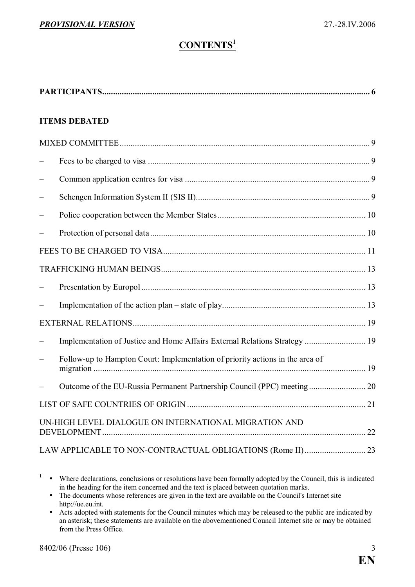### CONTENTS<sup>1</sup>

| <b>ITEMS DEBATED</b> |                                                                               |  |  |  |
|----------------------|-------------------------------------------------------------------------------|--|--|--|
|                      |                                                                               |  |  |  |
|                      |                                                                               |  |  |  |
|                      |                                                                               |  |  |  |
|                      |                                                                               |  |  |  |
|                      |                                                                               |  |  |  |
|                      |                                                                               |  |  |  |
|                      |                                                                               |  |  |  |
|                      |                                                                               |  |  |  |
|                      |                                                                               |  |  |  |
|                      |                                                                               |  |  |  |
|                      |                                                                               |  |  |  |
|                      | Implementation of Justice and Home Affairs External Relations Strategy  19    |  |  |  |
|                      | Follow-up to Hampton Court: Implementation of priority actions in the area of |  |  |  |
|                      |                                                                               |  |  |  |
|                      |                                                                               |  |  |  |
|                      | UN-HIGH LEVEL DIALOGUE ON INTERNATIONAL MIGRATION AND                         |  |  |  |
|                      | LAW APPLICABLE TO NON-CONTRACTUAL OBLIGATIONS (Rome II) 23                    |  |  |  |

 $\cdot$  Where declarations, conclusions or resolutions have been formally adopted by the Council, this is indicated in the heading for the item concerned and the text is placed between quotation marks.

<sup>•</sup> The documents whose references are given in the text are available on the Council's Internet site http://ue.eu.int.

 $\bullet$  Acts adopted with statements for the Council minutes which may be released to the public are indicated by an asterisk; these statements are available on the abovementioned Council Internet site or may be obtained from the Press Office.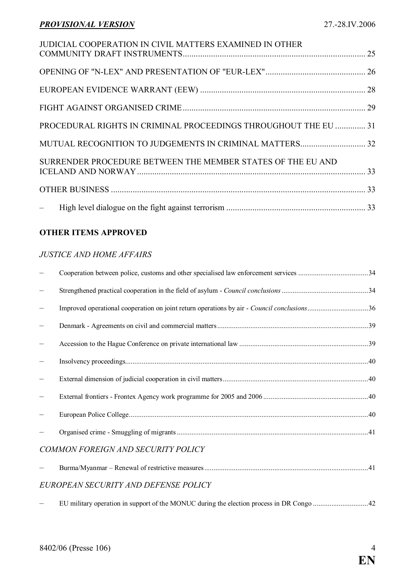| JUDICIAL COOPERATION IN CIVIL MATTERS EXAMINED IN OTHER         |  |
|-----------------------------------------------------------------|--|
|                                                                 |  |
|                                                                 |  |
|                                                                 |  |
|                                                                 |  |
| PROCEDURAL RIGHTS IN CRIMINAL PROCEEDINGS THROUGHOUT THE EU  31 |  |
|                                                                 |  |
| SURRENDER PROCEDURE BETWEEN THE MEMBER STATES OF THE EU AND     |  |
|                                                                 |  |
|                                                                 |  |
|                                                                 |  |

#### OTHER ITEMS APPROVED

#### JUSTICE AND HOME AFFAIRS

| Improved operational cooperation on joint return operations by air - Council conclusions36 |  |
|--------------------------------------------------------------------------------------------|--|
|                                                                                            |  |
|                                                                                            |  |
|                                                                                            |  |
|                                                                                            |  |
|                                                                                            |  |
|                                                                                            |  |
|                                                                                            |  |
| COMMON FOREIGN AND SECURITY POLICY                                                         |  |
|                                                                                            |  |
| EUROPEAN SECURITY AND DEFENSE POLICY                                                       |  |

– EU military operation in support of the MONUC during the election process in DR Congo ..............................[42](#page-41-0)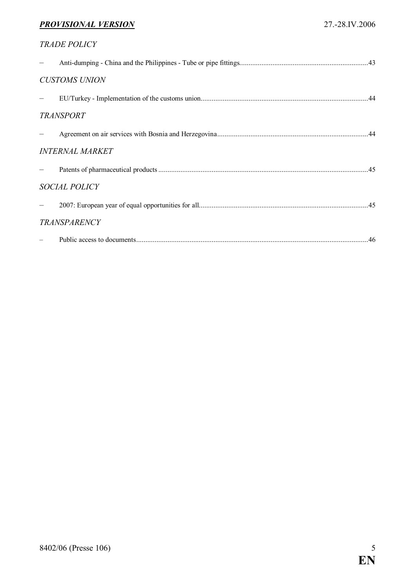| <b>TRADE POLICY</b>    |  |
|------------------------|--|
|                        |  |
| <b>CUSTOMS UNION</b>   |  |
|                        |  |
| <b>TRANSPORT</b>       |  |
|                        |  |
| <b>INTERNAL MARKET</b> |  |
|                        |  |
| <b>SOCIAL POLICY</b>   |  |
|                        |  |
| <b>TRANSPARENCY</b>    |  |
|                        |  |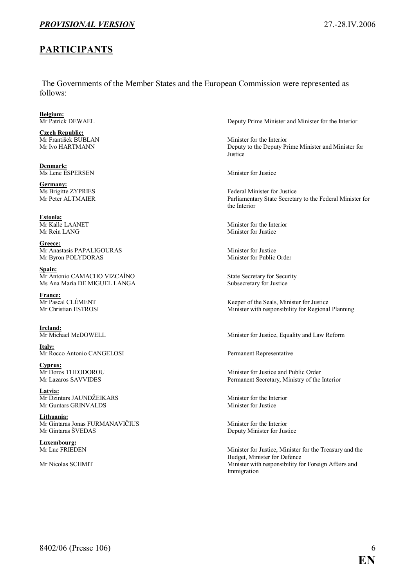#### <span id="page-5-0"></span>PARTICIPANTS

 The Governments of the Member States and the European Commission were represented as follows:

**Belgium:**<br>Mr Patrick DEWAEL

**Czech Republic:**<br>Mr František BUBLAN

Denmark: Ms Lene ESPERSEN Minister for Justice

Germany:<br>Ms Brigitte ZYPRIES

Estonia:

Greece: Mr Anastasis PAPALIGOURAS Minister for Justice Mr Byron POLYDORAS Minister for Public Order

Spain: Mr Antonio CAMACHO VIZCAÍNO State Secretary for Security Ms Ana María DE MIGUEL LANGA Subsecretary for Justice

**France:**<br>Mr Pascal CLÉMENT

**Ireland:**<br>Mr Michael McDOWELL

Italy: Mr Rocco Antonio CANGELOSI Permanent Representative

**Cyprus:**<br>Mr Doros THEODOROU

Latvia: Mr Dzintars JAUNDŽEIKARS Minister for the Interior<br>Mr Guntars GRINVALDS Minister for Justice Mr Guntars GRINVALDS

Lithuania: Mr Gintaras Jonas FURMANAVIČIUS Minister for the Interior<br>Mr Gintaras ŠVEDAS Deputy Minister for Just

**Luxembourg:**<br>Mr Luc FRIEDEN

Deputy Prime Minister and Minister for the Interior

Mr František BUBLAN Minister for the Interior<br>Mr Ivo HARTMANN Deputy to the Deputy Pr Deputy to the Deputy Prime Minister and Minister for Justice

Ms Brigitte ZYPRIES<br>
Mr Peter ALTMAIER<br>
Parliamentary State Secreta Parliamentary State Secretary to the Federal Minister for the Interior

Mr Kalle LAANET Minister for the Interior<br>Mr Rein LANG Minister for Justice Minister for Justice

Mr Pascal CLÉMENT Keeper of the Seals, Minister for Justice<br>Mr Christian ESTROSI Minister with responsibility for Regional Minister with responsibility for Regional Planning

Minister for Justice, Equality and Law Reform

Mr Doros THEODOROU Minister for Justice and Public Order<br>Mr Lazaros SAVVIDES Permanent Secretary, Ministry of the Permanent Secretary, Ministry of the Interior

Deputy Minister for Justice

Minister for Justice, Minister for the Treasury and the Budget, Minister for Defence Mr Nicolas SCHMIT Minister with responsibility for Foreign Affairs and Immigration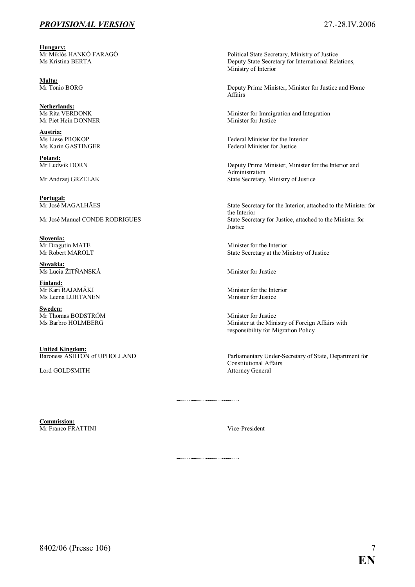Hungary:<br>Mr Miklós HANKÓ FARAGÓ

Malta:<br>Mr Tonio BORG

**Netherlands:**<br>Ms Rita VERDONK Mr Piet Hein DONNER

**Austria:**<br>Ms Liese PROKOP

**Poland:**<br>Mr Ludwik DORN

Portugal:<br>Mr José MAGALHÃES

**Slovenia:**<br>Mr Dragutin MATE

Slovakia: Ms Lucia ŽITŇANSKÁ Minister for Justice

**<u>Finland:</u><br>Mr Kari RAJAMÄKI** Ms Leena LUHTANEN Minister for Justice

Sweden: Mr Thomas BODSTRÖM Minister for Justice<br>
Ms Barbro HOLMBERG Minister at the Mini

**United Kingdom:**<br>Baroness ASHTON of UPHOLLAND

Lord GOLDSMITH Attorney General

Mr Miklós HANKÓ FARAGÓ **Political State Secretary, Ministry of Justice**<br>Ms Kristina BERTA Political State Secretary for International Rela Deputy State Secretary for International Relations, Ministry of Interior

> Deputy Prime Minister, Minister for Justice and Home Affairs

Minister for Immigration and Integration<br>Minister for Justice

Federal Minister for the Interior Ms Karin GASTINGER Federal Minister for Justice

Deputy Prime Minister, Minister for the Interior and Administration Mr Andrzej GRZELAK State Secretary, Ministry of Justice

State Secretary for the Interior, attached to the Minister for the Interior Mr José Manuel CONDE RODRIGUES State Secretary for Justice, attached to the Minister for Justice

Mr Dragutin MATE Minister for the Interior<br>Mr Robert MAROLT State Secretary at the M State Secretary at the Ministry of Justice

Minister for the Interior

Minister at the Ministry of Foreign Affairs with responsibility for Migration Policy

Parliamentary Under-Secretary of State, Department for Constitutional Affairs

Commission: Mr Franco FRATTINI Vice-President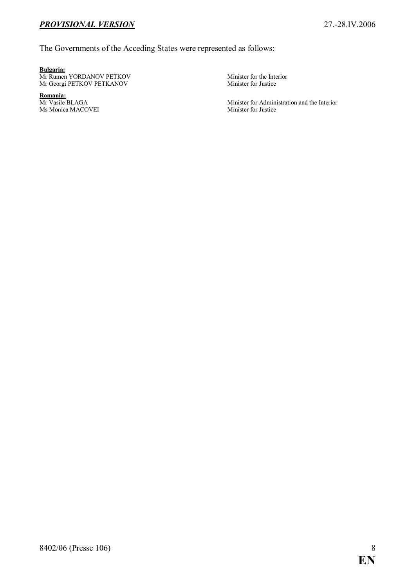#### The Governments of the Acceding States were represented as follows:

#### Bulgaria:

Mr Rumen YORDANOV PETKOV Minister for the Interior<br>Mr Georgi PETKOV PETKANOV Minister for Justice Mr Georgi PETKOV PETKANOV

Romania:<br>Mr Vasile BLAGA Ms Monica MACOVEI Minister for Justice

Minister for Administration and the Interior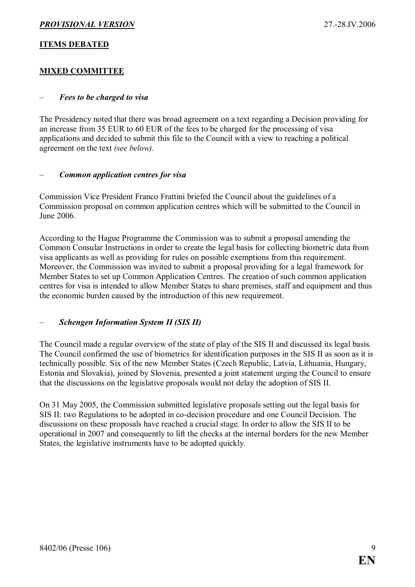#### <span id="page-8-0"></span>ITEMS DEBATED

#### MIXED COMMITTEE

#### Fees to be charged to visa

The Presidency noted that there was broad agreement on a text regarding a Decision providing for an increase from 35 EUR to 60 EUR of the fees to be charged for the processing of visa applications and decided to submit this file to the Council with a view to reaching a political agreement on the text (see below).

#### Common application centres for visa

Commission Vice President Franco Frattini briefed the Council about the guidelines of a Commission proposal on common application centres which will be submitted to the Council in June 2006.

According to the Hague Programme the Commission was to submit a proposal amending the Common Consular Instructions in order to create the legal basis for collecting biometric data from visa applicants as well as providing for rules on possible exemptions from this requirement. Moreover, the Commission was invited to submit a proposal providing for a legal framework for Member States to set up Common Application Centres. The creation of such common application centres for visa is intended to allow Member States to share premises, staff and equipment and thus the economic burden caused by the introduction of this new requirement.

#### – Schengen Information System II (SIS II)

The Council made a regular overview of the state of play of the SIS II and discussed its legal basis. The Council confirmed the use of biometrics for identification purposes in the SIS II as soon as it is technically possible. Six of the new Member States (Czech Republic, Latvia, Lithuania, Hungary, Estonia and Slovakia), joined by Slovenia, presented a joint statement urging the Council to ensure that the discussions on the legislative proposals would not delay the adoption of SIS II.

On 31 May 2005, the Commission submitted legislative proposals setting out the legal basis for SIS II: two Regulations to be adopted in co-decision procedure and one Council Decision. The discussions on these proposals have reached a crucial stage. In order to allow the SIS II to be operational in 2007 and consequently to lift the checks at the internal borders for the new Member States, the legislative instruments have to be adopted quickly.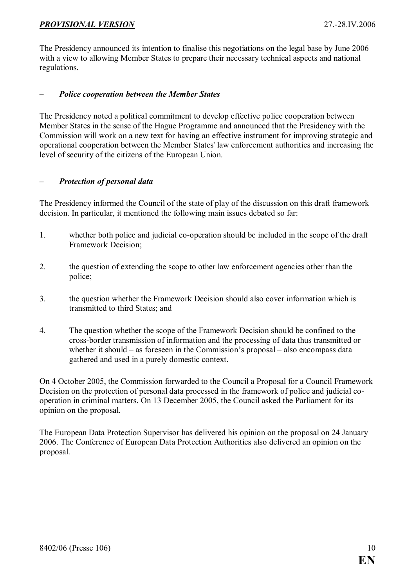<span id="page-9-0"></span>The Presidency announced its intention to finalise this negotiations on the legal base by June 2006 with a view to allowing Member States to prepare their necessary technical aspects and national regulations.

#### – Police cooperation between the Member States

The Presidency noted a political commitment to develop effective police cooperation between Member States in the sense of the Hague Programme and announced that the Presidency with the Commission will work on a new text for having an effective instrument for improving strategic and operational cooperation between the Member States' law enforcement authorities and increasing the level of security of the citizens of the European Union.

#### – Protection of personal data

The Presidency informed the Council of the state of play of the discussion on this draft framework decision. In particular, it mentioned the following main issues debated so far:

- 1. whether both police and judicial co-operation should be included in the scope of the draft Framework Decision;
- 2. the question of extending the scope to other law enforcement agencies other than the police;
- 3. the question whether the Framework Decision should also cover information which is transmitted to third States; and
- 4. The question whether the scope of the Framework Decision should be confined to the cross-border transmission of information and the processing of data thus transmitted or whether it should – as foreseen in the Commission's proposal – also encompass data gathered and used in a purely domestic context.

On 4 October 2005, the Commission forwarded to the Council a Proposal for a Council Framework Decision on the protection of personal data processed in the framework of police and judicial cooperation in criminal matters. On 13 December 2005, the Council asked the Parliament for its opinion on the proposal.

The European Data Protection Supervisor has delivered his opinion on the proposal on 24 January 2006. The Conference of European Data Protection Authorities also delivered an opinion on the proposal.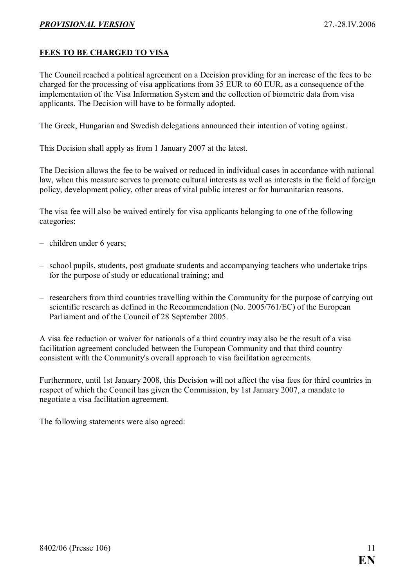#### <span id="page-10-0"></span>FEES TO BE CHARGED TO VISA

The Council reached a political agreement on a Decision providing for an increase of the fees to be charged for the processing of visa applications from 35 EUR to 60 EUR, as a consequence of the implementation of the Visa Information System and the collection of biometric data from visa applicants. The Decision will have to be formally adopted.

The Greek, Hungarian and Swedish delegations announced their intention of voting against.

This Decision shall apply as from 1 January 2007 at the latest.

The Decision allows the fee to be waived or reduced in individual cases in accordance with national law, when this measure serves to promote cultural interests as well as interests in the field of foreign policy, development policy, other areas of vital public interest or for humanitarian reasons.

The visa fee will also be waived entirely for visa applicants belonging to one of the following categories:

- children under 6 years;
- school pupils, students, post graduate students and accompanying teachers who undertake trips for the purpose of study or educational training; and
- researchers from third countries travelling within the Community for the purpose of carrying out scientific research as defined in the Recommendation (No. 2005/761/EC) of the European Parliament and of the Council of 28 September 2005.

A visa fee reduction or waiver for nationals of a third country may also be the result of a visa facilitation agreement concluded between the European Community and that third country consistent with the Community's overall approach to visa facilitation agreements.

Furthermore, until 1st January 2008, this Decision will not affect the visa fees for third countries in respect of which the Council has given the Commission, by 1st January 2007, a mandate to negotiate a visa facilitation agreement.

The following statements were also agreed: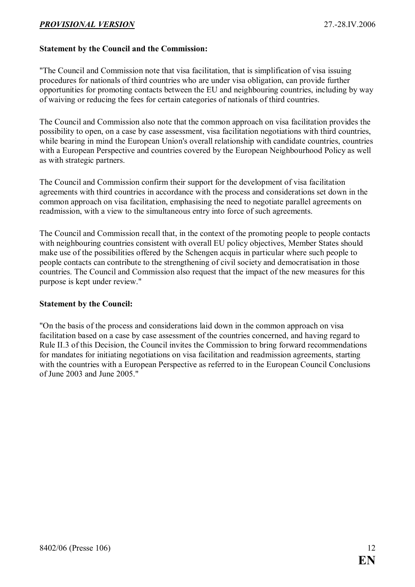#### Statement by the Council and the Commission:

"The Council and Commission note that visa facilitation, that is simplification of visa issuing procedures for nationals of third countries who are under visa obligation, can provide further opportunities for promoting contacts between the EU and neighbouring countries, including by way of waiving or reducing the fees for certain categories of nationals of third countries.

The Council and Commission also note that the common approach on visa facilitation provides the possibility to open, on a case by case assessment, visa facilitation negotiations with third countries, while bearing in mind the European Union's overall relationship with candidate countries, countries with a European Perspective and countries covered by the European Neighbourhood Policy as well as with strategic partners.

The Council and Commission confirm their support for the development of visa facilitation agreements with third countries in accordance with the process and considerations set down in the common approach on visa facilitation, emphasising the need to negotiate parallel agreements on readmission, with a view to the simultaneous entry into force of such agreements.

The Council and Commission recall that, in the context of the promoting people to people contacts with neighbouring countries consistent with overall EU policy objectives, Member States should make use of the possibilities offered by the Schengen acquis in particular where such people to people contacts can contribute to the strengthening of civil society and democratisation in those countries. The Council and Commission also request that the impact of the new measures for this purpose is kept under review."

#### Statement by the Council:

"On the basis of the process and considerations laid down in the common approach on visa facilitation based on a case by case assessment of the countries concerned, and having regard to Rule II.3 of this Decision, the Council invites the Commission to bring forward recommendations for mandates for initiating negotiations on visa facilitation and readmission agreements, starting with the countries with a European Perspective as referred to in the European Council Conclusions of June 2003 and June 2005."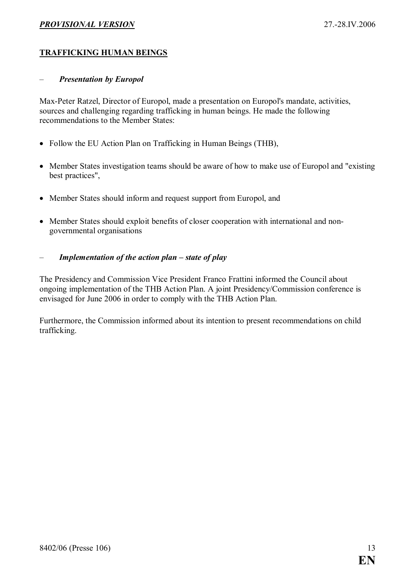#### <span id="page-12-0"></span>TRAFFICKING HUMAN BEINGS

#### – Presentation by Europol

Max-Peter Ratzel, Director of Europol, made a presentation on Europol's mandate, activities, sources and challenging regarding trafficking in human beings. He made the following recommendations to the Member States:

- Follow the EU Action Plan on Trafficking in Human Beings (THB),
- Member States investigation teams should be aware of how to make use of Europol and "existing" best practices",
- Member States should inform and request support from Europol, and
- Member States should exploit benefits of closer cooperation with international and nongovernmental organisations

#### – Implementation of the action plan – state of play

The Presidency and Commission Vice President Franco Frattini informed the Council about ongoing implementation of the THB Action Plan. A joint Presidency/Commission conference is envisaged for June 2006 in order to comply with the THB Action Plan.

Furthermore, the Commission informed about its intention to present recommendations on child trafficking.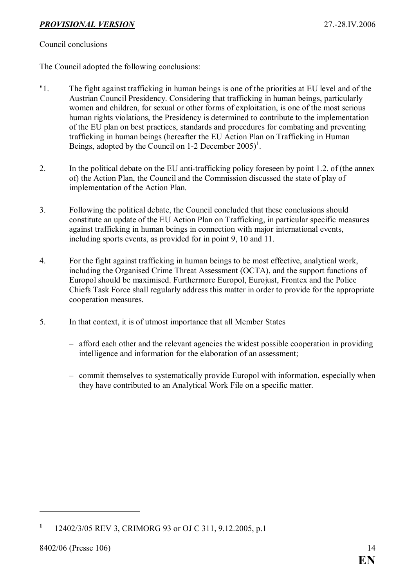#### Council conclusions

The Council adopted the following conclusions:

- "1. The fight against trafficking in human beings is one of the priorities at EU level and of the Austrian Council Presidency. Considering that trafficking in human beings, particularly women and children, for sexual or other forms of exploitation, is one of the most serious human rights violations, the Presidency is determined to contribute to the implementation of the EU plan on best practices, standards and procedures for combating and preventing trafficking in human beings (hereafter the EU Action Plan on Trafficking in Human Beings, adopted by the Council on 1-2 December  $2005$ <sup>1</sup>.
- 2. In the political debate on the EU anti-trafficking policy foreseen by point 1.2. of (the annex of) the Action Plan, the Council and the Commission discussed the state of play of implementation of the Action Plan.
- 3. Following the political debate, the Council concluded that these conclusions should constitute an update of the EU Action Plan on Trafficking, in particular specific measures against trafficking in human beings in connection with major international events, including sports events, as provided for in point 9, 10 and 11.
- 4. For the fight against trafficking in human beings to be most effective, analytical work, including the Organised Crime Threat Assessment (OCTA), and the support functions of Europol should be maximised. Furthermore Europol, Eurojust, Frontex and the Police Chiefs Task Force shall regularly address this matter in order to provide for the appropriate cooperation measures.
- 5. In that context, it is of utmost importance that all Member States
	- afford each other and the relevant agencies the widest possible cooperation in providing intelligence and information for the elaboration of an assessment;
	- commit themselves to systematically provide Europol with information, especially when they have contributed to an Analytical Work File on a specific matter.

<sup>1</sup> 12402/3/05 REV 3, CRIMORG 93 or OJ C 311, 9.12.2005, p.1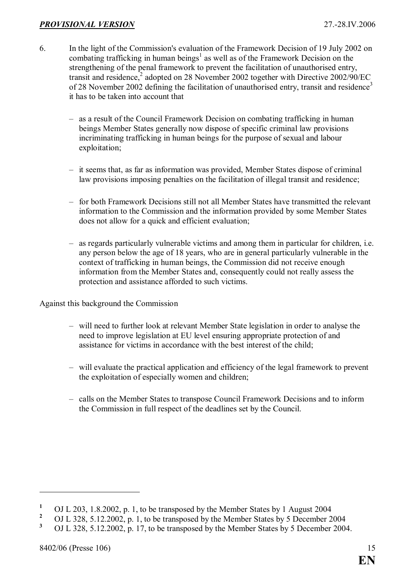- 6. In the light of the Commission's evaluation of the Framework Decision of 19 July 2002 on combating trafficking in human beings<sup>1</sup> as well as of the Framework Decision on the strengthening of the penal framework to prevent the facilitation of unauthorised entry, transit and residence, $2$  adopted on 28 November 2002 together with Directive 2002/90/EC of 28 November 2002 defining the facilitation of unauthorised entry, transit and residence<sup>3</sup> it has to be taken into account that
	- as a result of the Council Framework Decision on combating trafficking in human beings Member States generally now dispose of specific criminal law provisions incriminating trafficking in human beings for the purpose of sexual and labour exploitation;
	- it seems that, as far as information was provided, Member States dispose of criminal law provisions imposing penalties on the facilitation of illegal transit and residence;
	- for both Framework Decisions still not all Member States have transmitted the relevant information to the Commission and the information provided by some Member States does not allow for a quick and efficient evaluation;
	- as regards particularly vulnerable victims and among them in particular for children, i.e. any person below the age of 18 years, who are in general particularly vulnerable in the context of trafficking in human beings, the Commission did not receive enough information from the Member States and, consequently could not really assess the protection and assistance afforded to such victims.

Against this background the Commission

- will need to further look at relevant Member State legislation in order to analyse the need to improve legislation at EU level ensuring appropriate protection of and assistance for victims in accordance with the best interest of the child;
- will evaluate the practical application and efficiency of the legal framework to prevent the exploitation of especially women and children;
- calls on the Member States to transpose Council Framework Decisions and to inform the Commission in full respect of the deadlines set by the Council.

<sup>1</sup> OJ L 203, 1.8.2002, p. 1, to be transposed by the Member States by 1 August 2004

<sup>2</sup> OJ L 328, 5.12.2002, p. 1, to be transposed by the Member States by 5 December 2004

<sup>3</sup> OJ L 328, 5.12.2002, p. 17, to be transposed by the Member States by 5 December 2004.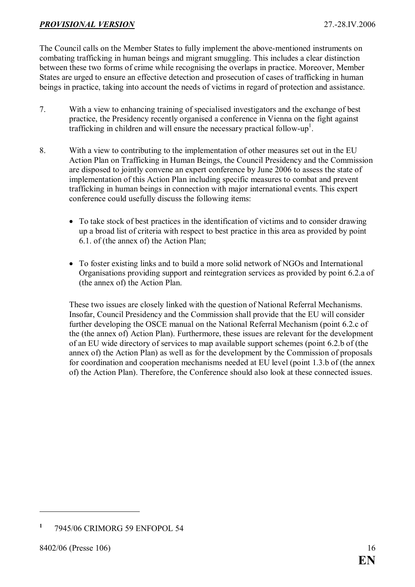The Council calls on the Member States to fully implement the above-mentioned instruments on combating trafficking in human beings and migrant smuggling. This includes a clear distinction between these two forms of crime while recognising the overlaps in practice. Moreover, Member States are urged to ensure an effective detection and prosecution of cases of trafficking in human beings in practice, taking into account the needs of victims in regard of protection and assistance.

- 7. With a view to enhancing training of specialised investigators and the exchange of best practice, the Presidency recently organised a conference in Vienna on the fight against trafficking in children and will ensure the necessary practical follow-up<sup>1</sup>.
- 8. With a view to contributing to the implementation of other measures set out in the EU Action Plan on Trafficking in Human Beings, the Council Presidency and the Commission are disposed to jointly convene an expert conference by June 2006 to assess the state of implementation of this Action Plan including specific measures to combat and prevent trafficking in human beings in connection with major international events. This expert conference could usefully discuss the following items:
	- To take stock of best practices in the identification of victims and to consider drawing up a broad list of criteria with respect to best practice in this area as provided by point 6.1. of (the annex of) the Action Plan;
	- To foster existing links and to build a more solid network of NGOs and International Organisations providing support and reintegration services as provided by point 6.2.a of (the annex of) the Action Plan.

These two issues are closely linked with the question of National Referral Mechanisms. Insofar, Council Presidency and the Commission shall provide that the EU will consider further developing the OSCE manual on the National Referral Mechanism (point 6.2.c of the (the annex of) Action Plan). Furthermore, these issues are relevant for the development of an EU wide directory of services to map available support schemes (point 6.2.b of (the annex of) the Action Plan) as well as for the development by the Commission of proposals for coordination and cooperation mechanisms needed at EU level (point 1.3.b of (the annex of) the Action Plan). Therefore, the Conference should also look at these connected issues.

<sup>1</sup> 7945/06 CRIMORG 59 ENFOPOL 54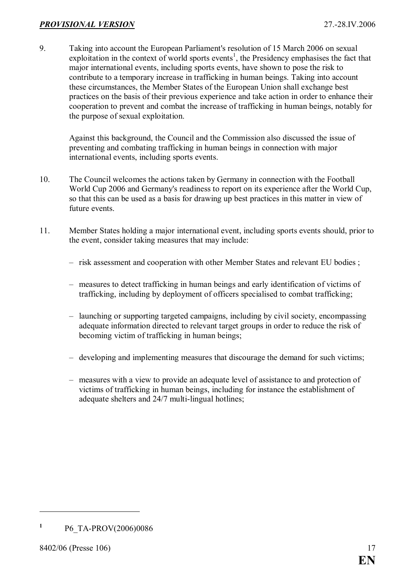9. Taking into account the European Parliament's resolution of 15 March 2006 on sexual exploitation in the context of world sports events<sup>1</sup>, the Presidency emphasises the fact that major international events, including sports events, have shown to pose the risk to contribute to a temporary increase in trafficking in human beings. Taking into account these circumstances, the Member States of the European Union shall exchange best practices on the basis of their previous experience and take action in order to enhance their cooperation to prevent and combat the increase of trafficking in human beings, notably for the purpose of sexual exploitation.

Against this background, the Council and the Commission also discussed the issue of preventing and combating trafficking in human beings in connection with major international events, including sports events.

- 10. The Council welcomes the actions taken by Germany in connection with the Football World Cup 2006 and Germany's readiness to report on its experience after the World Cup, so that this can be used as a basis for drawing up best practices in this matter in view of future events.
- 11. Member States holding a major international event, including sports events should, prior to the event, consider taking measures that may include:
	- risk assessment and cooperation with other Member States and relevant EU bodies ;
	- measures to detect trafficking in human beings and early identification of victims of trafficking, including by deployment of officers specialised to combat trafficking;
	- launching or supporting targeted campaigns, including by civil society, encompassing adequate information directed to relevant target groups in order to reduce the risk of becoming victim of trafficking in human beings;
	- developing and implementing measures that discourage the demand for such victims;
	- measures with a view to provide an adequate level of assistance to and protection of victims of trafficking in human beings, including for instance the establishment of adequate shelters and 24/7 multi-lingual hotlines;

<sup>1</sup> P6\_TA-PROV(2006)0086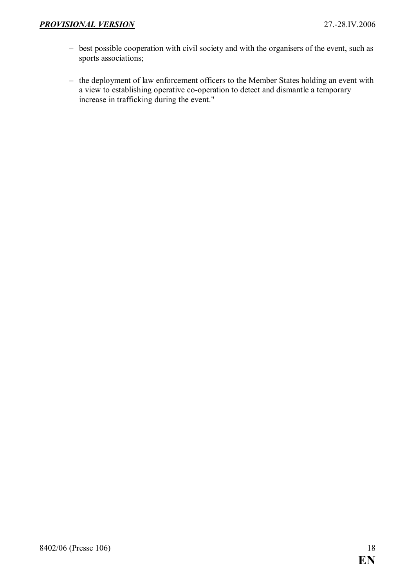- best possible cooperation with civil society and with the organisers of the event, such as sports associations;
- the deployment of law enforcement officers to the Member States holding an event with a view to establishing operative co-operation to detect and dismantle a temporary increase in trafficking during the event."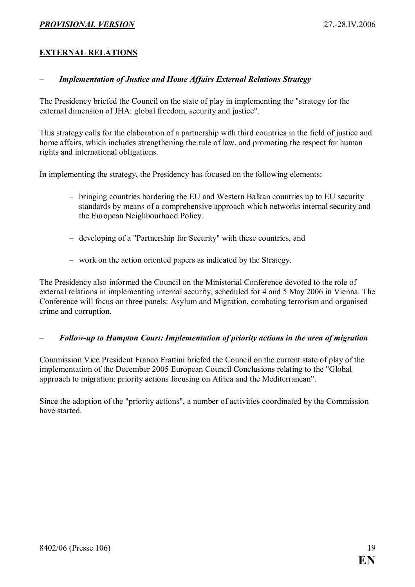#### <span id="page-18-0"></span>EXTERNAL RELATIONS

#### **Implementation of Justice and Home Affairs External Relations Strategy**

The Presidency briefed the Council on the state of play in implementing the "strategy for the external dimension of JHA: global freedom, security and justice".

This strategy calls for the elaboration of a partnership with third countries in the field of justice and home affairs, which includes strengthening the rule of law, and promoting the respect for human rights and international obligations.

In implementing the strategy, the Presidency has focused on the following elements:

- bringing countries bordering the EU and Western Balkan countries up to EU security standards by means of a comprehensive approach which networks internal security and the European Neighbourhood Policy.
- developing of a "Partnership for Security" with these countries, and
- work on the action oriented papers as indicated by the Strategy.

The Presidency also informed the Council on the Ministerial Conference devoted to the role of external relations in implementing internal security, scheduled for 4 and 5 May 2006 in Vienna. The Conference will focus on three panels: Asylum and Migration, combating terrorism and organised crime and corruption.

#### – Follow-up to Hampton Court: Implementation of priority actions in the area of migration

Commission Vice President Franco Frattini briefed the Council on the current state of play of the implementation of the December 2005 European Council Conclusions relating to the "Global approach to migration: priority actions focusing on Africa and the Mediterranean".

Since the adoption of the "priority actions", a number of activities coordinated by the Commission have started.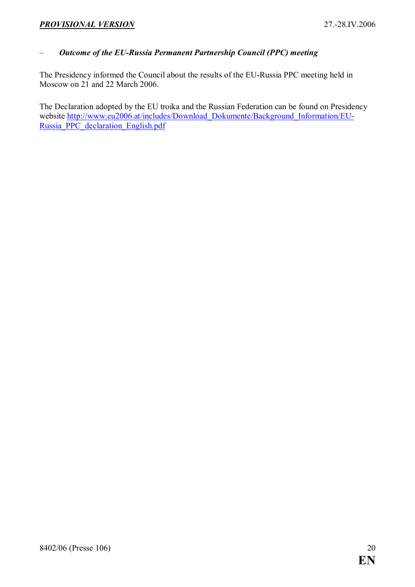#### <span id="page-19-0"></span>– Outcome of the EU-Russia Permanent Partnership Council (PPC) meeting

The Presidency informed the Council about the results of the EU-Russia PPC meeting held in Moscow on 21 and 22 March 2006.

The Declaration adopted by the EU troika and the Russian Federation can be found on Presidency website [http://www.eu2006.at/includes/Download\\_Dokumente/Background\\_Information/EU](http://www.eu2006.at/includes/Download_Dokumente/Background_Information/EU-Russia_PPC_declaration_English.pdf)-[Russia\\_PPC\\_declaration\\_English.pdf](http://www.eu2006.at/includes/Download_Dokumente/Background_Information/EU-Russia_PPC_declaration_English.pdf)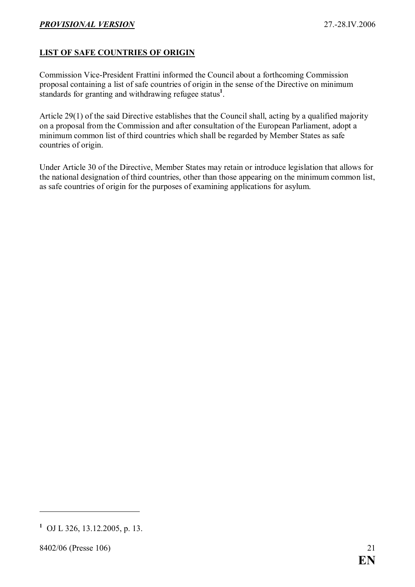#### <span id="page-20-0"></span>LIST OF SAFE COUNTRIES OF ORIGIN

Commission Vice-President Frattini informed the Council about a forthcoming Commission proposal containing a list of safe countries of origin in the sense of the Directive on minimum standards for granting and withdrawing refugee status<sup>1</sup>.

Article 29(1) of the said Directive establishes that the Council shall, acting by a qualified majority on a proposal from the Commission and after consultation of the European Parliament, adopt a minimum common list of third countries which shall be regarded by Member States as safe countries of origin.

Under Article 30 of the Directive, Member States may retain or introduce legislation that allows for the national designation of third countries, other than those appearing on the minimum common list, as safe countries of origin for the purposes of examining applications for asylum.

<sup>1</sup> OJ L 326, 13.12.2005, p. 13.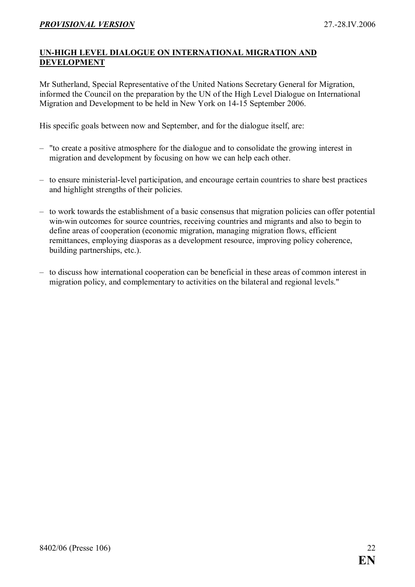#### <span id="page-21-0"></span>UN-HIGH LEVEL DIALOGUE ON INTERNATIONAL MIGRATION AND DEVELOPMENT

Mr Sutherland, Special Representative of the United Nations Secretary General for Migration, informed the Council on the preparation by the UN of the High Level Dialogue on International Migration and Development to be held in New York on 14-15 September 2006.

His specific goals between now and September, and for the dialogue itself, are:

- "to create a positive atmosphere for the dialogue and to consolidate the growing interest in migration and development by focusing on how we can help each other.
- to ensure ministerial-level participation, and encourage certain countries to share best practices and highlight strengths of their policies.
- to work towards the establishment of a basic consensus that migration policies can offer potential win-win outcomes for source countries, receiving countries and migrants and also to begin to define areas of cooperation (economic migration, managing migration flows, efficient remittances, employing diasporas as a development resource, improving policy coherence, building partnerships, etc.).
- to discuss how international cooperation can be beneficial in these areas of common interest in migration policy, and complementary to activities on the bilateral and regional levels."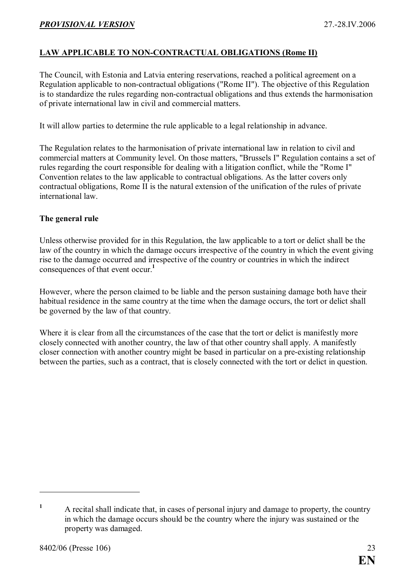#### <span id="page-22-0"></span>LAW APPLICABLE TO NON-CONTRACTUAL OBLIGATIONS (Rome II)

The Council, with Estonia and Latvia entering reservations, reached a political agreement on a Regulation applicable to non-contractual obligations ("Rome II"). The objective of this Regulation is to standardize the rules regarding non-contractual obligations and thus extends the harmonisation of private international law in civil and commercial matters.

It will allow parties to determine the rule applicable to a legal relationship in advance.

The Regulation relates to the harmonisation of private international law in relation to civil and commercial matters at Community level. On those matters, "Brussels I" Regulation contains a set of rules regarding the court responsible for dealing with a litigation conflict, while the "Rome I" Convention relates to the law applicable to contractual obligations. As the latter covers only contractual obligations, Rome II is the natural extension of the unification of the rules of private international law.

#### The general rule

Unless otherwise provided for in this Regulation, the law applicable to a tort or delict shall be the law of the country in which the damage occurs irrespective of the country in which the event giving rise to the damage occurred and irrespective of the country or countries in which the indirect consequences of that event occur.<sup>1</sup>

However, where the person claimed to be liable and the person sustaining damage both have their habitual residence in the same country at the time when the damage occurs, the tort or delict shall be governed by the law of that country.

Where it is clear from all the circumstances of the case that the tort or delict is manifestly more closely connected with another country, the law of that other country shall apply. A manifestly closer connection with another country might be based in particular on a pre-existing relationship between the parties, such as a contract, that is closely connected with the tort or delict in question.

<sup>1</sup> A recital shall indicate that, in cases of personal injury and damage to property, the country in which the damage occurs should be the country where the injury was sustained or the property was damaged.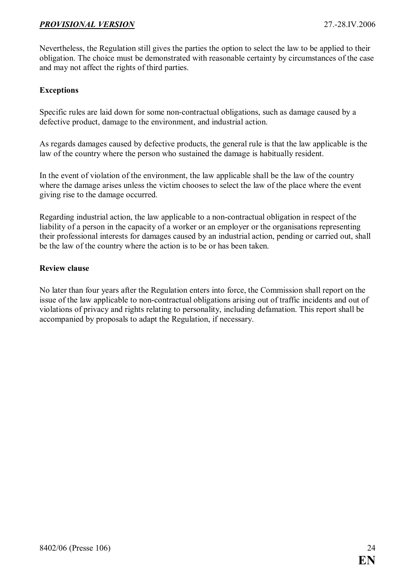Nevertheless, the Regulation still gives the parties the option to select the law to be applied to their obligation. The choice must be demonstrated with reasonable certainty by circumstances of the case and may not affect the rights of third parties.

#### Exceptions

Specific rules are laid down for some non-contractual obligations, such as damage caused by a defective product, damage to the environment, and industrial action.

As regards damages caused by defective products, the general rule is that the law applicable is the law of the country where the person who sustained the damage is habitually resident.

In the event of violation of the environment, the law applicable shall be the law of the country where the damage arises unless the victim chooses to select the law of the place where the event giving rise to the damage occurred.

Regarding industrial action, the law applicable to a non-contractual obligation in respect of the liability of a person in the capacity of a worker or an employer or the organisations representing their professional interests for damages caused by an industrial action, pending or carried out, shall be the law of the country where the action is to be or has been taken.

#### Review clause

No later than four years after the Regulation enters into force, the Commission shall report on the issue of the law applicable to non-contractual obligations arising out of traffic incidents and out of violations of privacy and rights relating to personality, including defamation. This report shall be accompanied by proposals to adapt the Regulation, if necessary.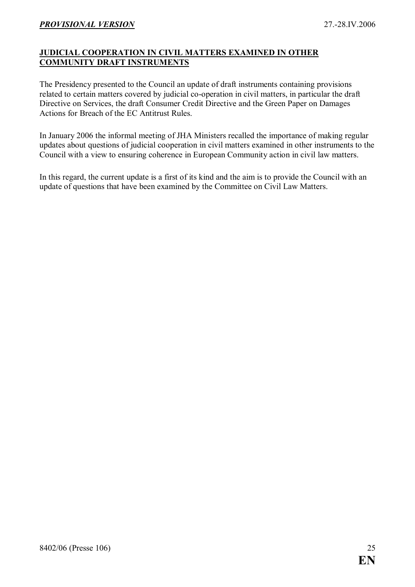#### <span id="page-24-0"></span>JUDICIAL COOPERATION IN CIVIL MATTERS EXAMINED IN OTHER COMMUNITY DRAFT INSTRUMENTS

The Presidency presented to the Council an update of draft instruments containing provisions related to certain matters covered by judicial co-operation in civil matters, in particular the draft Directive on Services, the draft Consumer Credit Directive and the Green Paper on Damages Actions for Breach of the EC Antitrust Rules.

In January 2006 the informal meeting of JHA Ministers recalled the importance of making regular updates about questions of judicial cooperation in civil matters examined in other instruments to the Council with a view to ensuring coherence in European Community action in civil law matters.

In this regard, the current update is a first of its kind and the aim is to provide the Council with an update of questions that have been examined by the Committee on Civil Law Matters.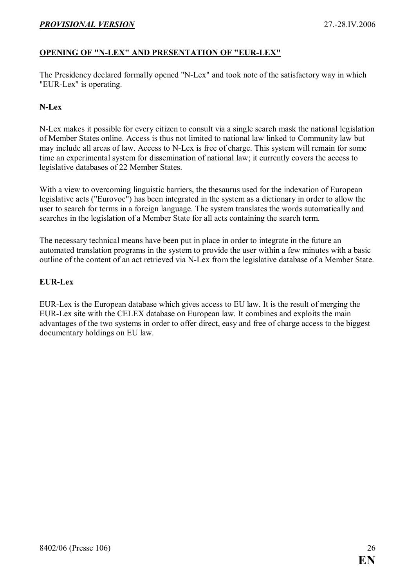#### <span id="page-25-0"></span>OPENING OF "N-LEX" AND PRESENTATION OF "EUR-LEX"

The Presidency declared formally opened "N-Lex" and took note of the satisfactory way in which "EUR-Lex" is operating.

#### N-Lex

N-Lex makes it possible for every citizen to consult via a single search mask the national legislation of Member States online. Access is thus not limited to national law linked to Community law but may include all areas of law. Access to N-Lex is free of charge. This system will remain for some time an experimental system for dissemination of national law; it currently covers the access to legislative databases of 22 Member States.

With a view to overcoming linguistic barriers, the thesaurus used for the indexation of European legislative acts ("Eurovoc") has been integrated in the system as a dictionary in order to allow the user to search for terms in a foreign language. The system translates the words automatically and searches in the legislation of a Member State for all acts containing the search term.

The necessary technical means have been put in place in order to integrate in the future an automated translation programs in the system to provide the user within a few minutes with a basic outline of the content of an act retrieved via N-Lex from the legislative database of a Member State.

#### EUR-Lex

EUR-Lex is the European database which gives access to EU law. It is the result of merging the EUR-Lex site with the CELEX database on European law. It combines and exploits the main advantages of the two systems in order to offer direct, easy and free of charge access to the biggest documentary holdings on EU law.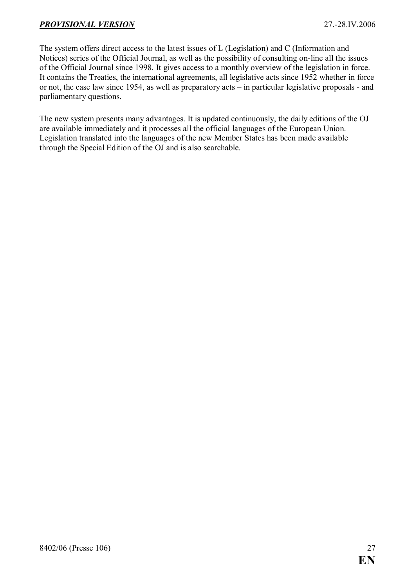The system offers direct access to the latest issues of L (Legislation) and C (Information and Notices) series of the Official Journal, as well as the possibility of consulting on-line all the issues of the Official Journal since 1998. It gives access to a monthly overview of the legislation in force. It contains the Treaties, the international agreements, all legislative acts since 1952 whether in force or not, the case law since 1954, as well as preparatory acts – in particular legislative proposals - and parliamentary questions.

The new system presents many advantages. It is updated continuously, the daily editions of the OJ are available immediately and it processes all the official languages of the European Union. Legislation translated into the languages of the new Member States has been made available through the Special Edition of the OJ and is also searchable.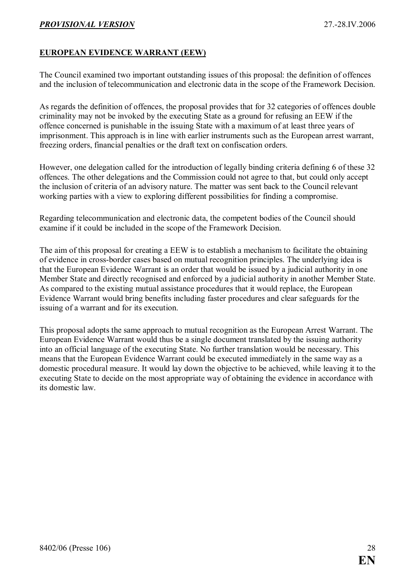#### <span id="page-27-0"></span>EUROPEAN EVIDENCE WARRANT (EEW)

The Council examined two important outstanding issues of this proposal: the definition of offences and the inclusion of telecommunication and electronic data in the scope of the Framework Decision.

As regards the definition of offences, the proposal provides that for 32 categories of offences double criminality may not be invoked by the executing State as a ground for refusing an EEW if the offence concerned is punishable in the issuing State with a maximum of at least three years of imprisonment. This approach is in line with earlier instruments such as the European arrest warrant, freezing orders, financial penalties or the draft text on confiscation orders.

However, one delegation called for the introduction of legally binding criteria defining 6 of these 32 offences. The other delegations and the Commission could not agree to that, but could only accept the inclusion of criteria of an advisory nature. The matter was sent back to the Council relevant working parties with a view to exploring different possibilities for finding a compromise.

Regarding telecommunication and electronic data, the competent bodies of the Council should examine if it could be included in the scope of the Framework Decision.

The aim of this proposal for creating a EEW is to establish a mechanism to facilitate the obtaining of evidence in cross-border cases based on mutual recognition principles. The underlying idea is that the European Evidence Warrant is an order that would be issued by a judicial authority in one Member State and directly recognised and enforced by a judicial authority in another Member State. As compared to the existing mutual assistance procedures that it would replace, the European Evidence Warrant would bring benefits including faster procedures and clear safeguards for the issuing of a warrant and for its execution.

This proposal adopts the same approach to mutual recognition as the European Arrest Warrant. The European Evidence Warrant would thus be a single document translated by the issuing authority into an official language of the executing State. No further translation would be necessary. This means that the European Evidence Warrant could be executed immediately in the same way as a domestic procedural measure. It would lay down the objective to be achieved, while leaving it to the executing State to decide on the most appropriate way of obtaining the evidence in accordance with its domestic law.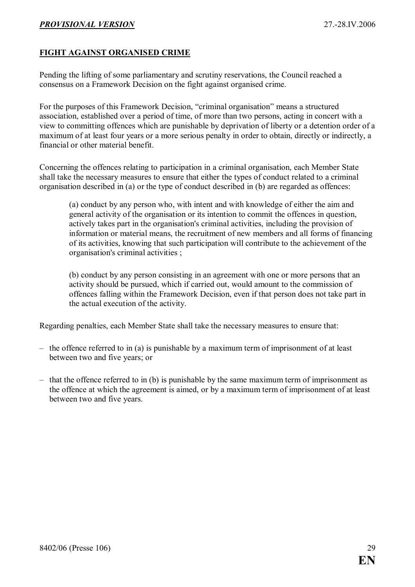#### <span id="page-28-0"></span>FIGHT AGAINST ORGANISED CRIME

Pending the lifting of some parliamentary and scrutiny reservations, the Council reached a consensus on a Framework Decision on the fight against organised crime.

For the purposes of this Framework Decision, "criminal organisation" means a structured association, established over a period of time, of more than two persons, acting in concert with a view to committing offences which are punishable by deprivation of liberty or a detention order of a maximum of at least four years or a more serious penalty in order to obtain, directly or indirectly, a financial or other material benefit.

Concerning the offences relating to participation in a criminal organisation, each Member State shall take the necessary measures to ensure that either the types of conduct related to a criminal organisation described in (a) or the type of conduct described in (b) are regarded as offences:

(a) conduct by any person who, with intent and with knowledge of either the aim and general activity of the organisation or its intention to commit the offences in question, actively takes part in the organisation's criminal activities, including the provision of information or material means, the recruitment of new members and all forms of financing of its activities, knowing that such participation will contribute to the achievement of the organisation's criminal activities ;

(b) conduct by any person consisting in an agreement with one or more persons that an activity should be pursued, which if carried out, would amount to the commission of offences falling within the Framework Decision, even if that person does not take part in the actual execution of the activity.

Regarding penalties, each Member State shall take the necessary measures to ensure that:

- the offence referred to in (a) is punishable by a maximum term of imprisonment of at least between two and five years; or
- that the offence referred to in (b) is punishable by the same maximum term of imprisonment as the offence at which the agreement is aimed, or by a maximum term of imprisonment of at least between two and five years.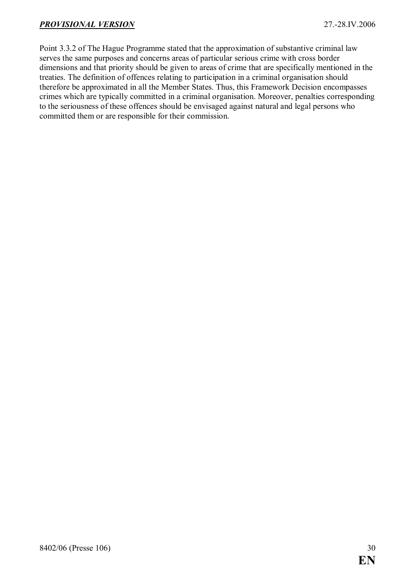Point 3.3.2 of The Hague Programme stated that the approximation of substantive criminal law serves the same purposes and concerns areas of particular serious crime with cross border dimensions and that priority should be given to areas of crime that are specifically mentioned in the treaties. The definition of offences relating to participation in a criminal organisation should therefore be approximated in all the Member States. Thus, this Framework Decision encompasses crimes which are typically committed in a criminal organisation. Moreover, penalties corresponding to the seriousness of these offences should be envisaged against natural and legal persons who committed them or are responsible for their commission.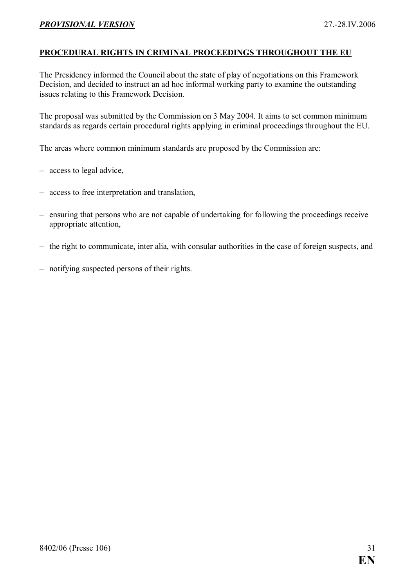#### <span id="page-30-0"></span>PROCEDURAL RIGHTS IN CRIMINAL PROCEEDINGS THROUGHOUT THE EU

The Presidency informed the Council about the state of play of negotiations on this Framework Decision, and decided to instruct an ad hoc informal working party to examine the outstanding issues relating to this Framework Decision.

The proposal was submitted by the Commission on 3 May 2004. It aims to set common minimum standards as regards certain procedural rights applying in criminal proceedings throughout the EU.

The areas where common minimum standards are proposed by the Commission are:

- access to legal advice,
- access to free interpretation and translation,
- ensuring that persons who are not capable of undertaking for following the proceedings receive appropriate attention,
- the right to communicate, inter alia, with consular authorities in the case of foreign suspects, and
- notifying suspected persons of their rights.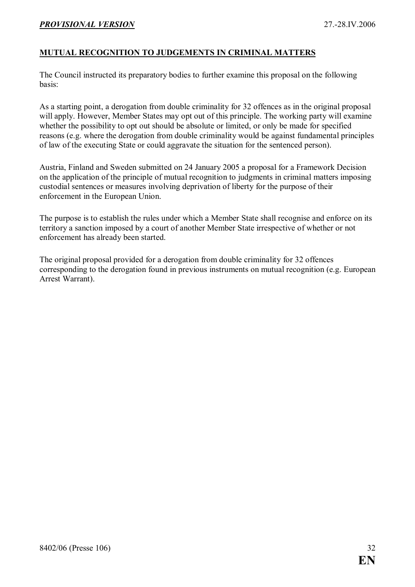#### <span id="page-31-0"></span>MUTUAL RECOGNITION TO JUDGEMENTS IN CRIMINAL MATTERS

The Council instructed its preparatory bodies to further examine this proposal on the following basis:

As a starting point, a derogation from double criminality for 32 offences as in the original proposal will apply. However, Member States may opt out of this principle. The working party will examine whether the possibility to opt out should be absolute or limited, or only be made for specified reasons (e.g. where the derogation from double criminality would be against fundamental principles of law of the executing State or could aggravate the situation for the sentenced person).

Austria, Finland and Sweden submitted on 24 January 2005 a proposal for a Framework Decision on the application of the principle of mutual recognition to judgments in criminal matters imposing custodial sentences or measures involving deprivation of liberty for the purpose of their enforcement in the European Union.

The purpose is to establish the rules under which a Member State shall recognise and enforce on its territory a sanction imposed by a court of another Member State irrespective of whether or not enforcement has already been started.

The original proposal provided for a derogation from double criminality for 32 offences corresponding to the derogation found in previous instruments on mutual recognition (e.g. European Arrest Warrant).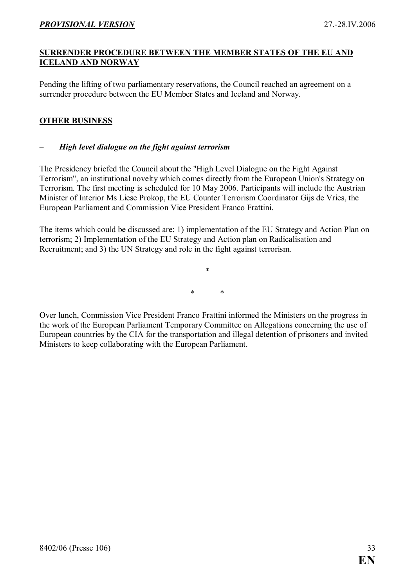#### <span id="page-32-0"></span>SURRENDER PROCEDURE BETWEEN THE MEMBER STATES OF THE EU AND ICELAND AND NORWAY

Pending the lifting of two parliamentary reservations, the Council reached an agreement on a surrender procedure between the EU Member States and Iceland and Norway.

#### OTHER BUSINESS

#### – High level dialogue on the fight against terrorism

The Presidency briefed the Council about the "High Level Dialogue on the Fight Against Terrorism", an institutional novelty which comes directly from the European Union's Strategy on Terrorism. The first meeting is scheduled for 10 May 2006. Participants will include the Austrian Minister of Interior Ms Liese Prokop, the EU Counter Terrorism Coordinator Gijs de Vries, the European Parliament and Commission Vice President Franco Frattini.

The items which could be discussed are: 1) implementation of the EU Strategy and Action Plan on terrorism; 2) Implementation of the EU Strategy and Action plan on Radicalisation and Recruitment; and 3) the UN Strategy and role in the fight against terrorism.

> \* \* \*

Over lunch, Commission Vice President Franco Frattini informed the Ministers on the progress in the work of the European Parliament Temporary Committee on Allegations concerning the use of European countries by the CIA for the transportation and illegal detention of prisoners and invited Ministers to keep collaborating with the European Parliament.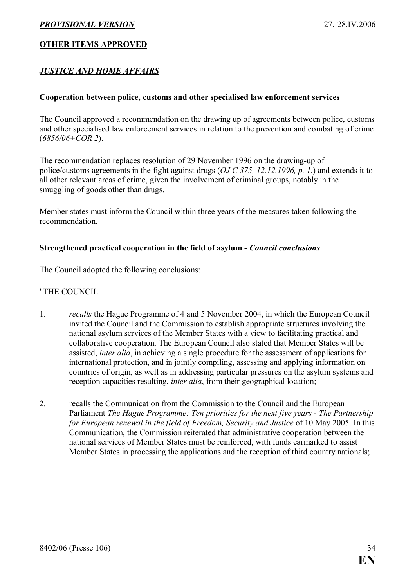#### <span id="page-33-0"></span>OTHER ITEMS APPROVED

#### **JUSTICE AND HOME AFFAIRS**

#### Cooperation between police, customs and other specialised law enforcement services

The Council approved a recommendation on the drawing up of agreements between police, customs and other specialised law enforcement services in relation to the prevention and combating of crime  $(6856/06 + COR2)$ .

The recommendation replaces resolution of 29 November 1996 on the drawing-up of police/customs agreements in the fight against drugs (OJ C 375, 12.12.1996, p. 1.) and extends it to all other relevant areas of crime, given the involvement of criminal groups, notably in the smuggling of goods other than drugs.

Member states must inform the Council within three years of the measures taken following the recommendation.

#### Strengthened practical cooperation in the field of asylum - Council conclusions

The Council adopted the following conclusions:

#### "THE COUNCIL

- 1. recalls the Hague Programme of 4 and 5 November 2004, in which the European Council invited the Council and the Commission to establish appropriate structures involving the national asylum services of the Member States with a view to facilitating practical and collaborative cooperation. The European Council also stated that Member States will be assisted, inter alia, in achieving a single procedure for the assessment of applications for international protection, and in jointly compiling, assessing and applying information on countries of origin, as well as in addressing particular pressures on the asylum systems and reception capacities resulting, *inter alia*, from their geographical location;
- 2. recalls the Communication from the Commission to the Council and the European Parliament The Hague Programme: Ten priorities for the next five years - The Partnership for European renewal in the field of Freedom, Security and Justice of 10 May 2005. In this Communication, the Commission reiterated that administrative cooperation between the national services of Member States must be reinforced, with funds earmarked to assist Member States in processing the applications and the reception of third country nationals;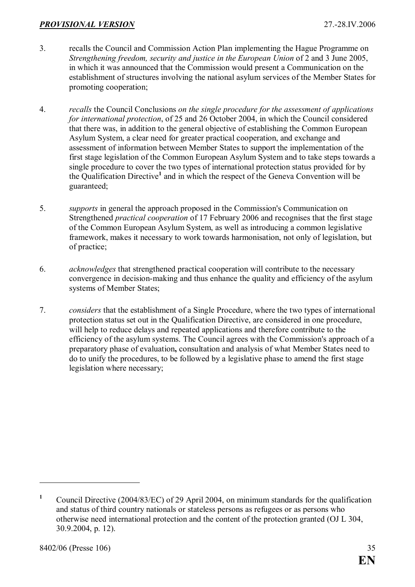- 3. recalls the Council and Commission Action Plan implementing the Hague Programme on Strengthening freedom, security and justice in the European Union of 2 and 3 June 2005, in which it was announced that the Commission would present a Communication on the establishment of structures involving the national asylum services of the Member States for promoting cooperation;
- 4. recalls the Council Conclusions on the single procedure for the assessment of applications for international protection, of 25 and 26 October 2004, in which the Council considered that there was, in addition to the general objective of establishing the Common European Asylum System, a clear need for greater practical cooperation, and exchange and assessment of information between Member States to support the implementation of the first stage legislation of the Common European Asylum System and to take steps towards a single procedure to cover the two types of international protection status provided for by the Qualification Directive<sup>1</sup> and in which the respect of the Geneva Convention will be guaranteed;
- 5. supports in general the approach proposed in the Commission's Communication on Strengthened practical cooperation of 17 February 2006 and recognises that the first stage of the Common European Asylum System, as well as introducing a common legislative framework, makes it necessary to work towards harmonisation, not only of legislation, but of practice;
- 6. acknowledges that strengthened practical cooperation will contribute to the necessary convergence in decision-making and thus enhance the quality and efficiency of the asylum systems of Member States;
- 7. considers that the establishment of a Single Procedure, where the two types of international protection status set out in the Qualification Directive, are considered in one procedure, will help to reduce delays and repeated applications and therefore contribute to the efficiency of the asylum systems. The Council agrees with the Commission's approach of a preparatory phase of evaluation, consultation and analysis of what Member States need to do to unify the procedures, to be followed by a legislative phase to amend the first stage legislation where necessary;

<sup>1</sup> Council Directive (2004/83/EC) of 29 April 2004, on minimum standards for the qualification and status of third country nationals or stateless persons as refugees or as persons who otherwise need international protection and the content of the protection granted (OJ L 304, 30.9.2004, p. 12).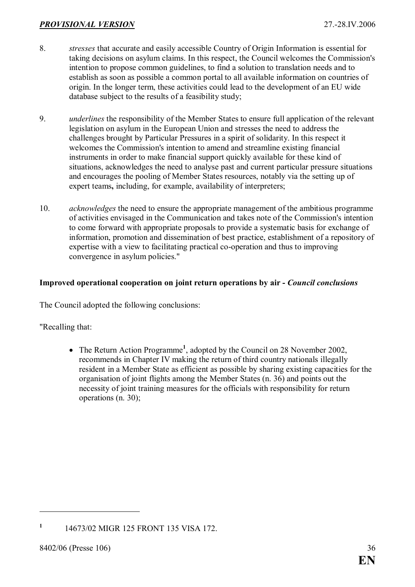- <span id="page-35-0"></span>8. stresses that accurate and easily accessible Country of Origin Information is essential for taking decisions on asylum claims. In this respect, the Council welcomes the Commission's intention to propose common guidelines, to find a solution to translation needs and to establish as soon as possible a common portal to all available information on countries of origin. In the longer term, these activities could lead to the development of an EU wide database subject to the results of a feasibility study;
- 9. underlines the responsibility of the Member States to ensure full application of the relevant legislation on asylum in the European Union and stresses the need to address the challenges brought by Particular Pressures in a spirit of solidarity. In this respect it welcomes the Commission's intention to amend and streamline existing financial instruments in order to make financial support quickly available for these kind of situations, acknowledges the need to analyse past and current particular pressure situations and encourages the pooling of Member States resources, notably via the setting up of expert teams, including, for example, availability of interpreters;
- 10. acknowledges the need to ensure the appropriate management of the ambitious programme of activities envisaged in the Communication and takes note of the Commission's intention to come forward with appropriate proposals to provide a systematic basis for exchange of information, promotion and dissemination of best practice, establishment of a repository of expertise with a view to facilitating practical co-operation and thus to improving convergence in asylum policies."

#### Improved operational cooperation on joint return operations by air - Council conclusions

The Council adopted the following conclusions:

"Recalling that:

• The Return Action Programme<sup>1</sup>, adopted by the Council on 28 November 2002, recommends in Chapter IV making the return of third country nationals illegally resident in a Member State as efficient as possible by sharing existing capacities for the organisation of joint flights among the Member States (n. 36) and points out the necessity of joint training measures for the officials with responsibility for return operations (n. 30);

<sup>1</sup> 14673/02 MIGR 125 FRONT 135 VISA 172.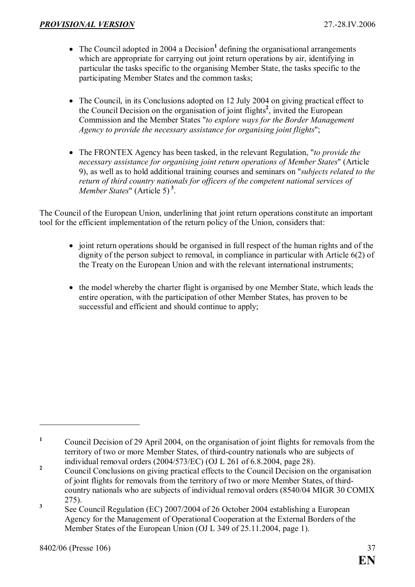- The Council adopted in 2004 a Decision<sup>1</sup> defining the organisational arrangements which are appropriate for carrying out joint return operations by air, identifying in particular the tasks specific to the organising Member State, the tasks specific to the participating Member States and the common tasks;
- The Council, in its Conclusions adopted on 12 July 2004 on giving practical effect to the Council Decision on the organisation of joint flights<sup>2</sup>, invited the European Commission and the Member States "to explore ways for the Border Management Agency to provide the necessary assistance for organising joint flights";
- The FRONTEX Agency has been tasked, in the relevant Regulation, "to provide the necessary assistance for organising joint return operations of Member States" (Article 9), as well as to hold additional training courses and seminars on "subjects related to the return of third country nationals for officers of the competent national services of Member States" (Article 5)<sup>3</sup>.

The Council of the European Union, underlining that joint return operations constitute an important tool for the efficient implementation of the return policy of the Union, considers that:

- joint return operations should be organised in full respect of the human rights and of the dignity of the person subject to removal, in compliance in particular with Article 6(2) of the Treaty on the European Union and with the relevant international instruments;
- the model whereby the charter flight is organised by one Member State, which leads the entire operation, with the participation of other Member States, has proven to be successful and efficient and should continue to apply;

<sup>1</sup> Council Decision of 29 April 2004, on the organisation of joint flights for removals from the territory of two or more Member States, of third-country nationals who are subjects of individual removal orders (2004/573/EC) (OJ L 261 of 6.8.2004, page 28).

<sup>2</sup> Council Conclusions on giving practical effects to the Council Decision on the organisation of joint flights for removals from the territory of two or more Member States, of thirdcountry nationals who are subjects of individual removal orders (8540/04 MIGR 30 COMIX 275).

<sup>3</sup> See Council Regulation (EC) 2007/2004 of 26 October 2004 establishing a European Agency for the Management of Operational Cooperation at the External Borders of the Member States of the European Union (OJ L 349 of 25.11.2004, page 1).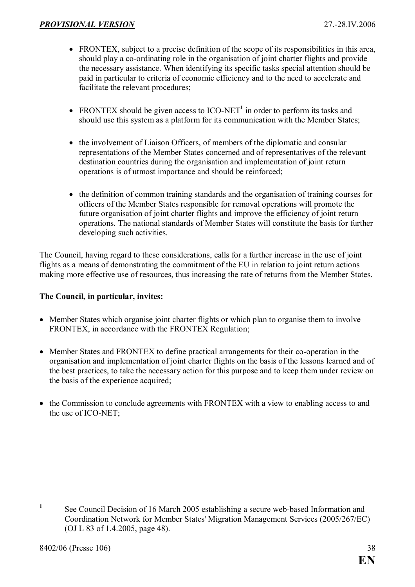- FRONTEX, subject to a precise definition of the scope of its responsibilities in this area, should play a co-ordinating role in the organisation of joint charter flights and provide the necessary assistance. When identifying its specific tasks special attention should be paid in particular to criteria of economic efficiency and to the need to accelerate and facilitate the relevant procedures;
- FRONTEX should be given access to  $ICO-NET<sup>1</sup>$  in order to perform its tasks and should use this system as a platform for its communication with the Member States;
- the involvement of Liaison Officers, of members of the diplomatic and consular representations of the Member States concerned and of representatives of the relevant destination countries during the organisation and implementation of joint return operations is of utmost importance and should be reinforced;
- the definition of common training standards and the organisation of training courses for officers of the Member States responsible for removal operations will promote the future organisation of joint charter flights and improve the efficiency of joint return operations. The national standards of Member States will constitute the basis for further developing such activities.

The Council, having regard to these considerations, calls for a further increase in the use of joint flights as a means of demonstrating the commitment of the EU in relation to joint return actions making more effective use of resources, thus increasing the rate of returns from the Member States.

#### The Council, in particular, invites:

- Member States which organise joint charter flights or which plan to organise them to involve FRONTEX, in accordance with the FRONTEX Regulation;
- Member States and FRONTEX to define practical arrangements for their co-operation in the organisation and implementation of joint charter flights on the basis of the lessons learned and of the best practices, to take the necessary action for this purpose and to keep them under review on the basis of the experience acquired;
- the Commission to conclude agreements with FRONTEX with a view to enabling access to and the use of ICO-NET;

<sup>1</sup> See Council Decision of 16 March 2005 establishing a secure web-based Information and Coordination Network for Member States' Migration Management Services (2005/267/EC) (OJ L 83 of 1.4.2005, page 48).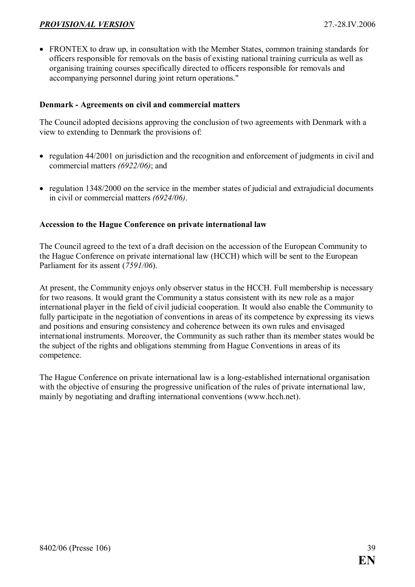<span id="page-38-0"></span>• FRONTEX to draw up, in consultation with the Member States, common training standards for officers responsible for removals on the basis of existing national training curricula as well as organising training courses specifically directed to officers responsible for removals and accompanying personnel during joint return operations."

#### Denmark - Agreements on civil and commercial matters

The Council adopted decisions approving the conclusion of two agreements with Denmark with a view to extending to Denmark the provisions of:

- regulation 44/2001 on jurisdiction and the recognition and enforcement of judgments in civil and commercial matters (6922/06); and
- regulation 1348/2000 on the service in the member states of judicial and extrajudicial documents in civil or commercial matters (6924/06).

#### Accession to the Hague Conference on private international law

The Council agreed to the text of a draft decision on the accession of the European Community to the Hague Conference on private international law (HCCH) which will be sent to the European Parliament for its assent (7591/06).

At present, the Community enjoys only observer status in the HCCH. Full membership is necessary for two reasons. It would grant the Community a status consistent with its new role as a major international player in the field of civil judicial cooperation. It would also enable the Community to fully participate in the negotiation of conventions in areas of its competence by expressing its views and positions and ensuring consistency and coherence between its own rules and envisaged international instruments. Moreover, the Community as such rather than its member states would be the subject of the rights and obligations stemming from Hague Conventions in areas of its competence.

The Hague Conference on private international law is a long-established international organisation with the objective of ensuring the progressive unification of the rules of private international law. mainly by negotiating and drafting international conventions (www.hcch.net).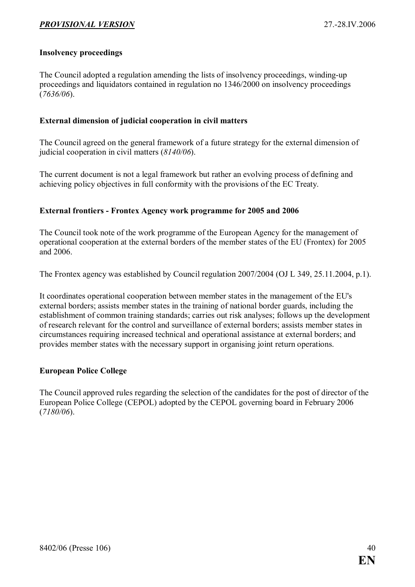#### <span id="page-39-0"></span>Insolvency proceedings

The Council adopted a regulation amending the lists of insolvency proceedings, winding-up proceedings and liquidators contained in regulation no 1346/2000 on insolvency proceedings  $(7636/06)$ .

#### External dimension of judicial cooperation in civil matters

The Council agreed on the general framework of a future strategy for the external dimension of judicial cooperation in civil matters  $(8140/06)$ .

The current document is not a legal framework but rather an evolving process of defining and achieving policy objectives in full conformity with the provisions of the EC Treaty.

#### External frontiers - Frontex Agency work programme for 2005 and 2006

The Council took note of the work programme of the European Agency for the management of operational cooperation at the external borders of the member states of the EU (Frontex) for 2005 and 2006.

The Frontex agency was established by Council regulation 2007/2004 (OJ L 349, 25.11.2004, p.1).

It coordinates operational cooperation between member states in the management of the EU's external borders; assists member states in the training of national border guards, including the establishment of common training standards; carries out risk analyses; follows up the development of research relevant for the control and surveillance of external borders; assists member states in circumstances requiring increased technical and operational assistance at external borders; and provides member states with the necessary support in organising joint return operations.

#### European Police College

The Council approved rules regarding the selection of the candidates for the post of director of the European Police College (CEPOL) adopted by the CEPOL governing board in February 2006  $(7180/06)$ .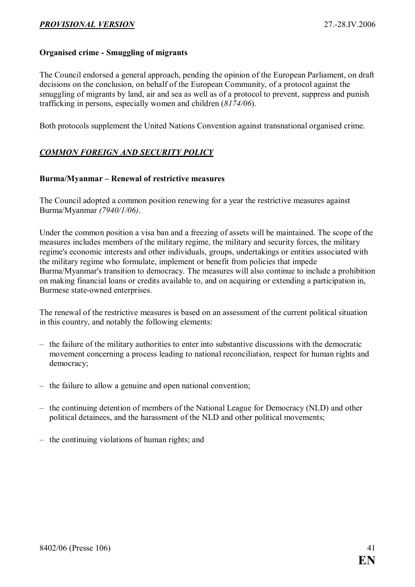#### <span id="page-40-0"></span>Organised crime - Smuggling of migrants

The Council endorsed a general approach, pending the opinion of the European Parliament, on draft decisions on the conclusion, on behalf of the European Community, of a protocol against the smuggling of migrants by land, air and sea as well as of a protocol to prevent, suppress and punish trafficking in persons, especially women and children (8174/06).

Both protocols supplement the United Nations Convention against transnational organised crime.

#### COMMON FOREIGN AND SECURITY POLICY

#### Burma/Myanmar – Renewal of restrictive measures

The Council adopted a common position renewing for a year the restrictive measures against Burma/Myanmar (7940/1/06).

Under the common position a visa ban and a freezing of assets will be maintained. The scope of the measures includes members of the military regime, the military and security forces, the military regime's economic interests and other individuals, groups, undertakings or entities associated with the military regime who formulate, implement or benefit from policies that impede Burma/Myanmar's transition to democracy. The measures will also continue to include a prohibition on making financial loans or credits available to, and on acquiring or extending a participation in, Burmese state-owned enterprises.

The renewal of the restrictive measures is based on an assessment of the current political situation in this country, and notably the following elements:

- the failure of the military authorities to enter into substantive discussions with the democratic movement concerning a process leading to national reconciliation, respect for human rights and democracy;
- the failure to allow a genuine and open national convention;
- the continuing detention of members of the National League for Democracy (NLD) and other political detainees, and the harassment of the NLD and other political movements;
- the continuing violations of human rights; and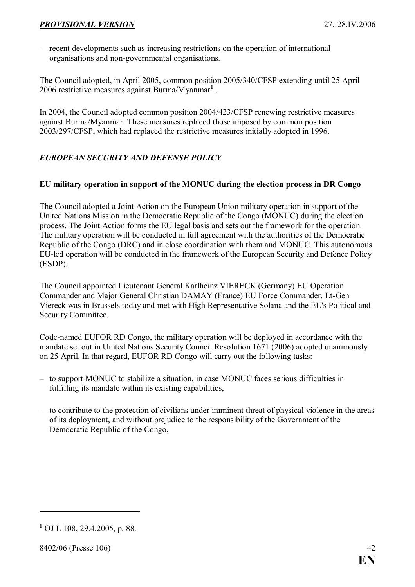<span id="page-41-0"></span>– recent developments such as increasing restrictions on the operation of international organisations and non-governmental organisations.

The Council adopted, in April 2005, common position 2005/340/CFSP extending until 25 April 2006 restrictive measures against Burma/Myanmar<sup>1</sup>.

In 2004, the Council adopted common position 2004/423/CFSP renewing restrictive measures against Burma/Myanmar. These measures replaced those imposed by common position 2003/297/CFSP, which had replaced the restrictive measures initially adopted in 1996.

#### EUROPEAN SECURITY AND DEFENSE POLICY

#### EU military operation in support of the MONUC during the election process in DR Congo

The Council adopted a Joint Action on the European Union military operation in support of the United Nations Mission in the Democratic Republic of the Congo (MONUC) during the election process. The Joint Action forms the EU legal basis and sets out the framework for the operation. The military operation will be conducted in full agreement with the authorities of the Democratic Republic of the Congo (DRC) and in close coordination with them and MONUC. This autonomous EU-led operation will be conducted in the framework of the European Security and Defence Policy (ESDP).

The Council appointed Lieutenant General Karlheinz VIERECK (Germany) EU Operation Commander and Major General Christian DAMAY (France) EU Force Commander. Lt-Gen Viereck was in Brussels today and met with High Representative Solana and the EU's Political and Security Committee.

Code-named EUFOR RD Congo, the military operation will be deployed in accordance with the mandate set out in United Nations Security Council Resolution 1671 (2006) adopted unanimously on 25 April. In that regard, EUFOR RD Congo will carry out the following tasks:

- to support MONUC to stabilize a situation, in case MONUC faces serious difficulties in fulfilling its mandate within its existing capabilities,
- to contribute to the protection of civilians under imminent threat of physical violence in the areas of its deployment, and without prejudice to the responsibility of the Government of the Democratic Republic of the Congo,

<sup>1</sup> OJ L 108, 29.4.2005, p. 88.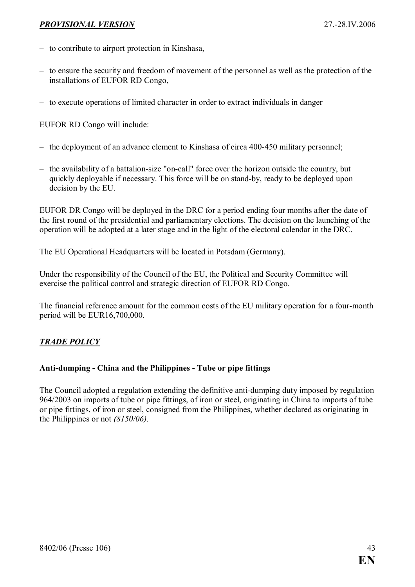- <span id="page-42-0"></span>– to contribute to airport protection in Kinshasa,
- to ensure the security and freedom of movement of the personnel as well as the protection of the installations of EUFOR RD Congo,
- to execute operations of limited character in order to extract individuals in danger

EUFOR RD Congo will include:

- the deployment of an advance element to Kinshasa of circa 400-450 military personnel;
- the availability of a battalion-size "on-call" force over the horizon outside the country, but quickly deployable if necessary. This force will be on stand-by, ready to be deployed upon decision by the EU.

EUFOR DR Congo will be deployed in the DRC for a period ending four months after the date of the first round of the presidential and parliamentary elections. The decision on the launching of the operation will be adopted at a later stage and in the light of the electoral calendar in the DRC.

The EU Operational Headquarters will be located in Potsdam (Germany).

Under the responsibility of the Council of the EU, the Political and Security Committee will exercise the political control and strategic direction of EUFOR RD Congo.

The financial reference amount for the common costs of the EU military operation for a four-month period will be EUR16,700,000.

#### TRADE POLICY

#### Anti-dumping - China and the Philippines - Tube or pipe fittings

The Council adopted a regulation extending the definitive anti-dumping duty imposed by regulation 964/2003 on imports of tube or pipe fittings, of iron or steel, originating in China to imports of tube or pipe fittings, of iron or steel, consigned from the Philippines, whether declared as originating in the Philippines or not (8150/06).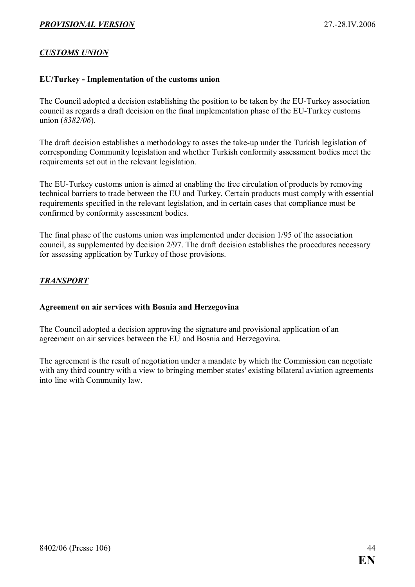#### <span id="page-43-0"></span>CUSTOMS UNION

#### EU/Turkey - Implementation of the customs union

The Council adopted a decision establishing the position to be taken by the EU-Turkey association council as regards a draft decision on the final implementation phase of the EU-Turkey customs union (8382/06).

The draft decision establishes a methodology to asses the take-up under the Turkish legislation of corresponding Community legislation and whether Turkish conformity assessment bodies meet the requirements set out in the relevant legislation.

The EU-Turkey customs union is aimed at enabling the free circulation of products by removing technical barriers to trade between the EU and Turkey. Certain products must comply with essential requirements specified in the relevant legislation, and in certain cases that compliance must be confirmed by conformity assessment bodies.

The final phase of the customs union was implemented under decision 1/95 of the association council, as supplemented by decision 2/97. The draft decision establishes the procedures necessary for assessing application by Turkey of those provisions.

#### TRANSPORT

#### Agreement on air services with Bosnia and Herzegovina

The Council adopted a decision approving the signature and provisional application of an agreement on air services between the EU and Bosnia and Herzegovina.

The agreement is the result of negotiation under a mandate by which the Commission can negotiate with any third country with a view to bringing member states' existing bilateral aviation agreements into line with Community law.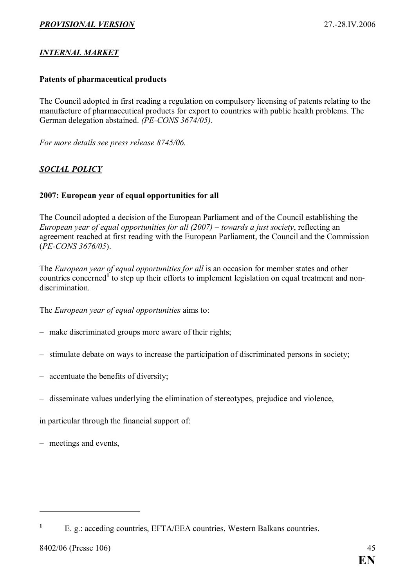#### <span id="page-44-0"></span>INTERNAL MARKET

#### Patents of pharmaceutical products

The Council adopted in first reading a regulation on compulsory licensing of patents relating to the manufacture of pharmaceutical products for export to countries with public health problems. The German delegation abstained. (PE-CONS 3674/05).

For more details see press release 8745/06.

#### SOCIAL POLICY

#### 2007: European year of equal opportunities for all

The Council adopted a decision of the European Parliament and of the Council establishing the European year of equal opportunities for all (2007) – towards a just society, reflecting an agreement reached at first reading with the European Parliament, the Council and the Commission (PE-CONS 3676/05).

The *European year of equal opportunities for all* is an occasion for member states and other countries concerned<sup>1</sup> to step up their efforts to implement legislation on equal treatment and nondiscrimination.

The European year of equal opportunities aims to:

- make discriminated groups more aware of their rights;
- stimulate debate on ways to increase the participation of discriminated persons in society;
- accentuate the benefits of diversity;
- disseminate values underlying the elimination of stereotypes, prejudice and violence,

in particular through the financial support of:

– meetings and events,

<sup>1</sup> E. g.: acceding countries, EFTA/EEA countries, Western Balkans countries.